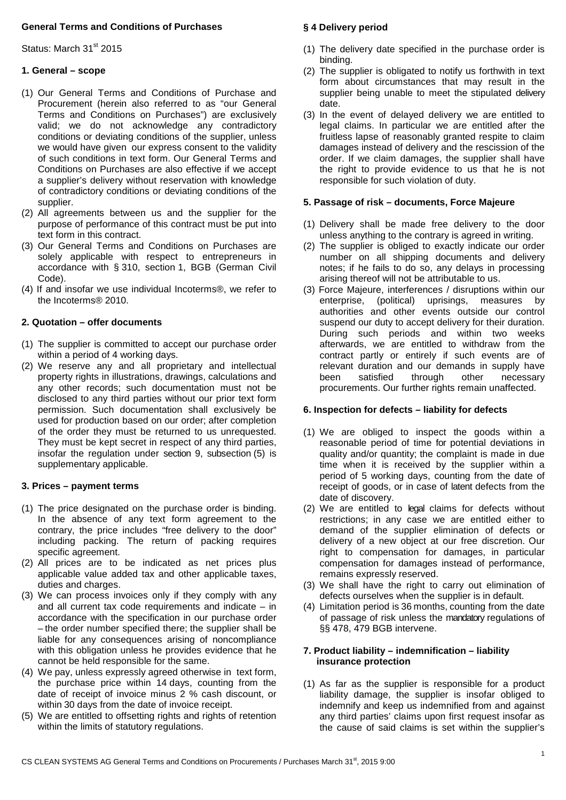## **General Terms and Conditions of Purchases**

Status: March 31<sup>st</sup> 2015

## **1. General – scope**

- (1) Our General Terms and Conditions of Purchase and Procurement (herein also referred to as "our General Terms and Conditions on Purchases") are exclusively valid; we do not acknowledge any contradictory conditions or deviating conditions of the supplier, unless we would have given our express consent to the validity of such conditions in text form. Our General Terms and Conditions on Purchases are also effective if we accept a supplier's delivery without reservation with knowledge of contradictory conditions or deviating conditions of the supplier.
- (2) All agreements between us and the supplier for the purpose of performance of this contract must be put into text form in this contract.
- (3) Our General Terms and Conditions on Purchases are solely applicable with respect to entrepreneurs in accordance with § 310, section 1, BGB (German Civil Code).
- (4) If and insofar we use individual Incoterms®, we refer to the Incoterms® 2010.

## **2. Quotation – offer documents**

- (1) The supplier is committed to accept our purchase order within a period of 4 working days.
- (2) We reserve any and all proprietary and intellectual property rights in illustrations, drawings, calculations and any other records; such documentation must not be disclosed to any third parties without our prior text form permission. Such documentation shall exclusively be used for production based on our order; after completion of the order they must be returned to us unrequested. They must be kept secret in respect of any third parties, insofar the regulation under section 9, subsection (5) is supplementary applicable.

## **3. Prices – payment terms**

- (1) The price designated on the purchase order is binding. In the absence of any text form agreement to the contrary, the price includes "free delivery to the door" including packing. The return of packing requires specific agreement.
- (2) All prices are to be indicated as net prices plus applicable value added tax and other applicable taxes, duties and charges.
- (3) We can process invoices only if they comply with any and all current tax code requirements and indicate – in accordance with the specification in our purchase order – the order number specified there; the supplier shall be liable for any consequences arising of noncompliance with this obligation unless he provides evidence that he cannot be held responsible for the same.
- (4) We pay, unless expressly agreed otherwise in text form, the purchase price within 14 days, counting from the date of receipt of invoice minus 2 % cash discount, or within 30 days from the date of invoice receipt.
- (5) We are entitled to offsetting rights and rights of retention within the limits of statutory regulations.

# **§ 4 Delivery period**

- (1) The delivery date specified in the purchase order is binding.
- (2) The supplier is obligated to notify us forthwith in text form about circumstances that may result in the supplier being unable to meet the stipulated delivery date.
- (3) In the event of delayed delivery we are entitled to legal claims. In particular we are entitled after the fruitless lapse of reasonably granted respite to claim damages instead of delivery and the rescission of the order. If we claim damages, the supplier shall have the right to provide evidence to us that he is not responsible for such violation of duty.

## **5. Passage of risk – documents, Force Majeure**

- (1) Delivery shall be made free delivery to the door unless anything to the contrary is agreed in writing.
- (2) The supplier is obliged to exactly indicate our order number on all shipping documents and delivery notes; if he fails to do so, any delays in processing arising thereof will not be attributable to us.
- (3) Force Majeure, interferences / disruptions within our enterprise, (political) uprisings, measures by authorities and other events outside our control suspend our duty to accept delivery for their duration. During such periods and within two weeks afterwards, we are entitled to withdraw from the contract partly or entirely if such events are of relevant duration and our demands in supply have been satisfied through other necessary procurements. Our further rights remain unaffected.

## **6. Inspection for defects – liability for defects**

- (1) We are obliged to inspect the goods within a reasonable period of time for potential deviations in quality and/or quantity; the complaint is made in due time when it is received by the supplier within a period of 5 working days, counting from the date of receipt of goods, or in case of latent defects from the date of discovery.
- (2) We are entitled to legal claims for defects without restrictions; in any case we are entitled either to demand of the supplier elimination of defects or delivery of a new object at our free discretion. Our right to compensation for damages, in particular compensation for damages instead of performance, remains expressly reserved.
- (3) We shall have the right to carry out elimination of defects ourselves when the supplier is in default.
- (4) Limitation period is 36 months, counting from the date of passage of risk unless the mandatory regulations of §§ 478, 479 BGB intervene.

#### **7. Product liability – indemnification – liability insurance protection**

(1) As far as the supplier is responsible for a product liability damage, the supplier is insofar obliged to indemnify and keep us indemnified from and against any third parties' claims upon first request insofar as the cause of said claims is set within the supplier's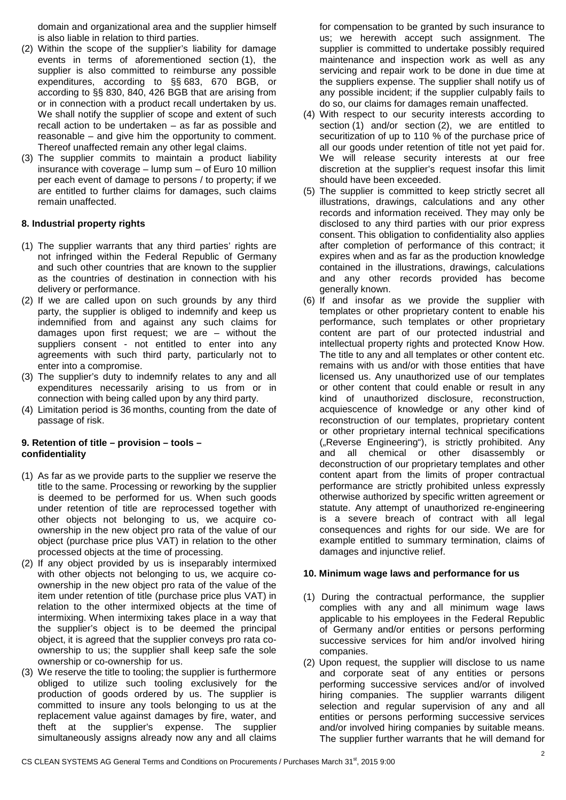domain and organizational area and the supplier himself is also liable in relation to third parties.

- (2) Within the scope of the supplier's liability for damage events in terms of aforementioned section (1), the supplier is also committed to reimburse any possible expenditures, according to §§ 683, 670 BGB, or according to §§ 830, 840, 426 BGB that are arising from or in connection with a product recall undertaken by us. We shall notify the supplier of scope and extent of such recall action to be undertaken – as far as possible and reasonable – and give him the opportunity to comment. Thereof unaffected remain any other legal claims.
- (3) The supplier commits to maintain a product liability insurance with coverage – lump sum – of Euro 10 million per each event of damage to persons / to property; if we are entitled to further claims for damages, such claims remain unaffected.

## **8. Industrial property rights**

- (1) The supplier warrants that any third parties' rights are not infringed within the Federal Republic of Germany and such other countries that are known to the supplier as the countries of destination in connection with his delivery or performance.
- (2) If we are called upon on such grounds by any third party, the supplier is obliged to indemnify and keep us indemnified from and against any such claims for damages upon first request; we are – without the suppliers consent - not entitled to enter into any agreements with such third party, particularly not to enter into a compromise.
- (3) The supplier's duty to indemnify relates to any and all expenditures necessarily arising to us from or in connection with being called upon by any third party.
- (4) Limitation period is 36 months, counting from the date of passage of risk.

# **9. Retention of title – provision – tools – confidentiality**

- (1) As far as we provide parts to the supplier we reserve the title to the same. Processing or reworking by the supplier is deemed to be performed for us. When such goods under retention of title are reprocessed together with other objects not belonging to us, we acquire coownership in the new object pro rata of the value of our object (purchase price plus VAT) in relation to the other processed objects at the time of processing.
- (2) If any object provided by us is inseparably intermixed with other objects not belonging to us, we acquire coownership in the new object pro rata of the value of the item under retention of title (purchase price plus VAT) in relation to the other intermixed objects at the time of intermixing. When intermixing takes place in a way that the supplier's object is to be deemed the principal object, it is agreed that the supplier conveys pro rata coownership to us; the supplier shall keep safe the sole ownership or co-ownership for us.
- (3) We reserve the title to tooling; the supplier is furthermore obliged to utilize such tooling exclusively for the production of goods ordered by us. The supplier is committed to insure any tools belonging to us at the replacement value against damages by fire, water, and theft at the supplier's expense. The supplier simultaneously assigns already now any and all claims

for compensation to be granted by such insurance to us; we herewith accept such assignment. The supplier is committed to undertake possibly required maintenance and inspection work as well as any servicing and repair work to be done in due time at the suppliers expense. The supplier shall notify us of any possible incident; if the supplier culpably fails to do so, our claims for damages remain unaffected.

- (4) With respect to our security interests according to section (1) and/or section (2), we are entitled to securitization of up to 110 % of the purchase price of all our goods under retention of title not yet paid for. We will release security interests at our free discretion at the supplier's request insofar this limit should have been exceeded.
- (5) The supplier is committed to keep strictly secret all illustrations, drawings, calculations and any other records and information received. They may only be disclosed to any third parties with our prior express consent. This obligation to confidentiality also applies after completion of performance of this contract; it expires when and as far as the production knowledge contained in the illustrations, drawings, calculations and any other records provided has become generally known.
- (6) If and insofar as we provide the supplier with templates or other proprietary content to enable his performance, such templates or other proprietary content are part of our protected industrial and intellectual property rights and protected Know How. The title to any and all templates or other content etc. remains with us and/or with those entities that have licensed us. Any unauthorized use of our templates or other content that could enable or result in any kind of unauthorized disclosure, reconstruction, acquiescence of knowledge or any other kind of reconstruction of our templates, proprietary content or other proprietary internal technical specifications ("Reverse Engineering"), is strictly prohibited. Any and all chemical or other disassembly or deconstruction of our proprietary templates and other content apart from the limits of proper contractual performance are strictly prohibited unless expressly otherwise authorized by specific written agreement or statute. Any attempt of unauthorized re-engineering is a severe breach of contract with all legal consequences and rights for our side. We are for example entitled to summary termination, claims of damages and injunctive relief.

## **10. Minimum wage laws and performance for us**

- (1) During the contractual performance, the supplier complies with any and all minimum wage laws applicable to his employees in the Federal Republic of Germany and/or entities or persons performing successive services for him and/or involved hiring companies.
- (2) Upon request, the supplier will disclose to us name and corporate seat of any entities or persons performing successive services and/or of involved hiring companies. The supplier warrants diligent selection and regular supervision of any and all entities or persons performing successive services and/or involved hiring companies by suitable means. The supplier further warrants that he will demand for